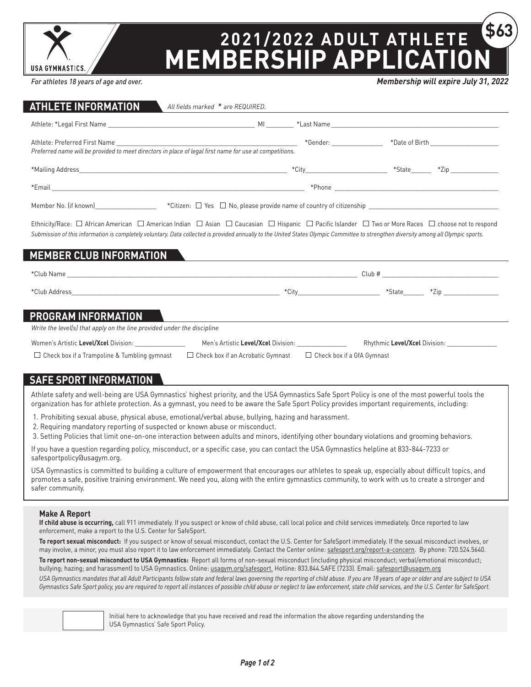

# **2021/2022 ADULT ATHLETE MEMBERSHIP APPLICATION \$63**

*For athletes 18 years of age and over.*

*Membership will expire July 31, 2022*

| <b>ATHLETE INFORMATION</b>                                                                                                                                                                                             | All fields marked * are REQUIRED.                                                                                      |  |                                                                                                                                                                                            |
|------------------------------------------------------------------------------------------------------------------------------------------------------------------------------------------------------------------------|------------------------------------------------------------------------------------------------------------------------|--|--------------------------------------------------------------------------------------------------------------------------------------------------------------------------------------------|
|                                                                                                                                                                                                                        |                                                                                                                        |  |                                                                                                                                                                                            |
| Preferred name will be provided to meet directors in place of legal first name for use at competitions.                                                                                                                |                                                                                                                        |  |                                                                                                                                                                                            |
|                                                                                                                                                                                                                        |                                                                                                                        |  |                                                                                                                                                                                            |
| *Email and the contract of the contract of the contract of the contract of the contract of the contract of the                                                                                                         |                                                                                                                        |  |                                                                                                                                                                                            |
|                                                                                                                                                                                                                        |                                                                                                                        |  |                                                                                                                                                                                            |
| Submission of this information is completely voluntary. Data collected is provided annually to the United States Olympic Committee to strengthen diversity among all Olympic sports.<br><b>MEMBER CLUB INFORMATION</b> |                                                                                                                        |  | Ethnicity/Race: $\Box$ African American $\Box$ American Indian $\Box$ Asian $\Box$ Caucasian $\Box$ Hispanic $\Box$ Pacific Islander $\Box$ Two or More Races $\Box$ choose not to respond |
|                                                                                                                                                                                                                        | <u> 1989 - Johann Stein, mars andrew Stein, mars andrew Stein, mars andrew Stein, mars andrew Stein, mars andrew S</u> |  |                                                                                                                                                                                            |
|                                                                                                                                                                                                                        |                                                                                                                        |  | *City____________________________ *State_______ *Zip ___________________________                                                                                                           |
| PROGRAM INFORMATION                                                                                                                                                                                                    |                                                                                                                        |  |                                                                                                                                                                                            |
| Write the level(s) that apply on the line provided under the discipline                                                                                                                                                |                                                                                                                        |  |                                                                                                                                                                                            |
| Women's Artistic Level/Xcel Division: _________________                                                                                                                                                                |                                                                                                                        |  |                                                                                                                                                                                            |
| $\Box$ Check box if a Trampoline & Tumbling gymnast                                                                                                                                                                    | $\Box$ Check box if an Acrobatic Gymnast $\Box$ Check box if a GfA Gymnast                                             |  |                                                                                                                                                                                            |
| <b>SAFE SPORT INFORMATION</b>                                                                                                                                                                                          |                                                                                                                        |  |                                                                                                                                                                                            |

#### Athlete safety and well-being are USA Gymnastics' highest priority, and the USA Gymnastics Safe Sport Policy is one of the most powerful tools the organization has for athlete protection. As a gymnast, you need to be aware the Safe Sport Policy provides important requirements, including:

- 1. Prohibiting sexual abuse, physical abuse, emotional/verbal abuse, bullying, hazing and harassment.
- 2. Requiring mandatory reporting of suspected or known abuse or misconduct.
- 3. Setting Policies that limit one-on-one interaction between adults and minors, identifying other boundary violations and grooming behaviors.

If you have a question regarding policy, misconduct, or a specific case, you can contact the USA Gymnastics helpline at 833-844-7233 or [safesportpolicy@usagym.org](mailto:safesportpolicy%40usagym.org?subject=).

USA Gymnastics is committed to building a culture of empowerment that encourages our athletes to speak up, especially about difficult topics, and promotes a safe, positive training environment. We need you, along with the entire gymnastics community, to work with us to create a stronger and safer community.

#### **Make A Report**

**If child abuse is occurring,** call 911 immediately. If you suspect or know of child abuse, call local police and child services immediately. Once reported to law enforcement, make a report to the U.S. Center for SafeSport.

**To report sexual misconduct:** If you suspect or know of sexual misconduct, contact the U.S. Center for SafeSport immediately. If the sexual misconduct involves, or may involve, a minor, you must also report it to law enforcement immediately. Contact the Center online: [safesport.org/report-a-concern](https://uscenterforsafesport.org/report-a-concern/). By phone: 720.524.5640.

**To report non-sexual misconduct to USA Gymnastics:** Report all forms of non-sexual misconduct (including physical misconduct; verbal/emotional misconduct; bullying; hazing; and harassment) to USA Gymnastics. Online: [usagym.org/safesport.](https://usagym.org/pages/education/safesport/) Hotline: 833.844.SAFE (7233). Email: [safesport@usagym.org](mailto:safesport%40usagym.org?subject=)

*USA Gymnastics mandates that all Adult Participants follow state and federal laws governing the reporting of child abuse. If you are 18 years of age or older and are subject to USA Gymnastics Safe Sport policy, you are required to report all instances of possible child abuse or neglect to law enforcement, state child services, and the U.S. Center for SafeSport.*



Initial here to acknowledge that you have received and read the information the above regarding understanding the USA Gymnastics' Safe Sport Policy.